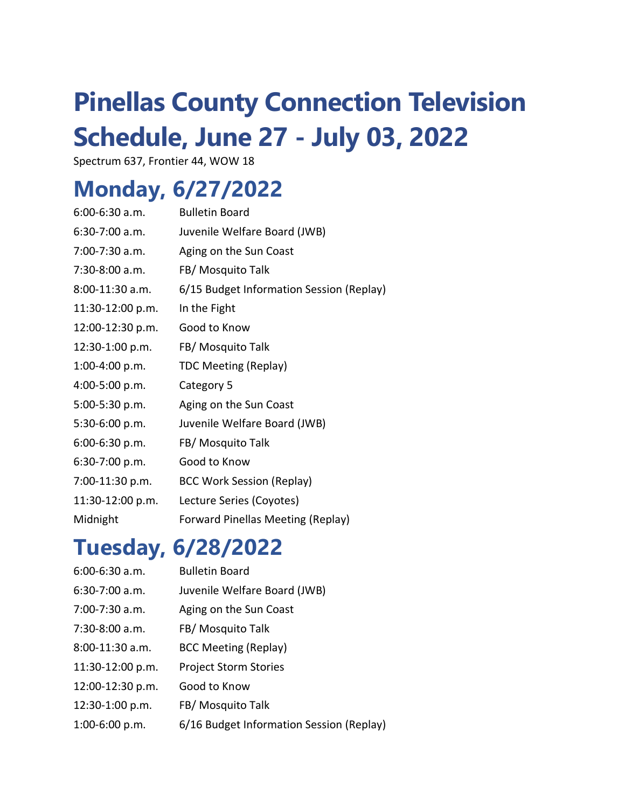# **Pinellas County Connection Television Schedule, June 27 - July 03, 2022**

Spectrum 637, Frontier 44, WOW 18

#### **Monday, 6/27/2022**

| $6:00-6:30$ a.m. | <b>Bulletin Board</b>                    |
|------------------|------------------------------------------|
| $6:30-7:00$ a.m. | Juvenile Welfare Board (JWB)             |
| 7:00-7:30 a.m.   | Aging on the Sun Coast                   |
| 7:30-8:00 a.m.   | FB/ Mosquito Talk                        |
| 8:00-11:30 a.m.  | 6/15 Budget Information Session (Replay) |
| 11:30-12:00 p.m. | In the Fight                             |
| 12:00-12:30 p.m. | Good to Know                             |
| 12:30-1:00 p.m.  | FB/ Mosquito Talk                        |
| 1:00-4:00 p.m.   | <b>TDC Meeting (Replay)</b>              |
| 4:00-5:00 p.m.   | Category 5                               |
| 5:00-5:30 p.m.   | Aging on the Sun Coast                   |
| 5:30-6:00 p.m.   | Juvenile Welfare Board (JWB)             |
| 6:00-6:30 p.m.   | FB/ Mosquito Talk                        |
| 6:30-7:00 p.m.   | Good to Know                             |
| 7:00-11:30 p.m.  | <b>BCC Work Session (Replay)</b>         |
| 11:30-12:00 p.m. | Lecture Series (Coyotes)                 |
| Midnight         | Forward Pinellas Meeting (Replay)        |

#### **Tuesday, 6/28/2022**

| $6:00-6:30$ a.m.   | <b>Bulletin Board</b>                    |
|--------------------|------------------------------------------|
| $6:30-7:00$ a.m.   | Juvenile Welfare Board (JWB)             |
| $7:00 - 7:30$ a.m. | Aging on the Sun Coast                   |
| 7:30-8:00 a.m.     | FB/ Mosquito Talk                        |
| 8:00-11:30 a.m.    | <b>BCC Meeting (Replay)</b>              |
| 11:30-12:00 p.m.   | <b>Project Storm Stories</b>             |
| 12:00-12:30 p.m.   | Good to Know                             |
| 12:30-1:00 p.m.    | FB/ Mosquito Talk                        |
| $1:00-6:00 p.m.$   | 6/16 Budget Information Session (Replay) |
|                    |                                          |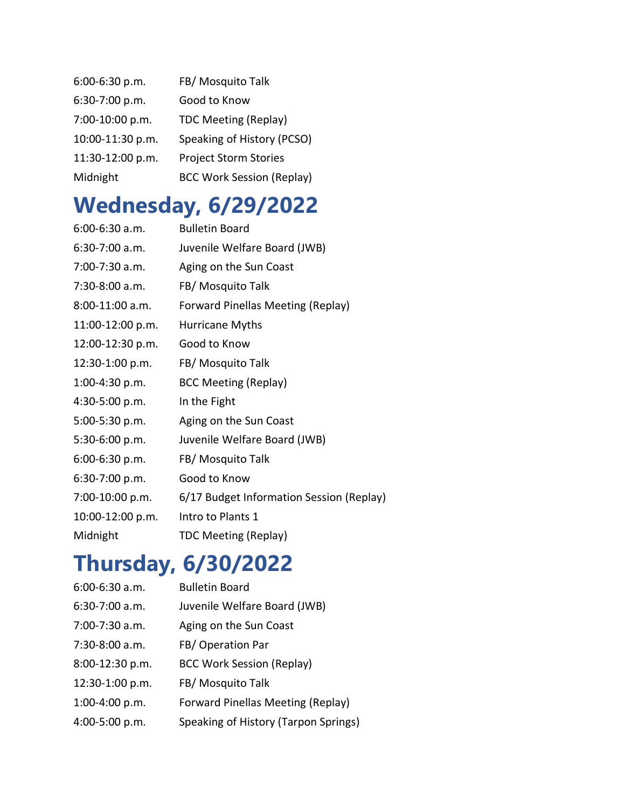| 6:00-6:30 p.m.   | FB/ Mosquito Talk                |
|------------------|----------------------------------|
| 6:30-7:00 p.m.   | Good to Know                     |
| 7:00-10:00 p.m.  | <b>TDC Meeting (Replay)</b>      |
| 10:00-11:30 p.m. | Speaking of History (PCSO)       |
| 11:30-12:00 p.m. | <b>Project Storm Stories</b>     |
| Midnight         | <b>BCC Work Session (Replay)</b> |

## **Wednesday, 6/29/2022**

| $6:00-6:30$ a.m. | <b>Bulletin Board</b>                    |
|------------------|------------------------------------------|
| $6:30-7:00$ a.m. | Juvenile Welfare Board (JWB)             |
| 7:00-7:30 a.m.   | Aging on the Sun Coast                   |
| 7:30-8:00 a.m.   | FB/ Mosquito Talk                        |
| 8:00-11:00 a.m.  | Forward Pinellas Meeting (Replay)        |
| 11:00-12:00 p.m. | Hurricane Myths                          |
| 12:00-12:30 p.m. | Good to Know                             |
| 12:30-1:00 p.m.  | FB/ Mosquito Talk                        |
| 1:00-4:30 p.m.   | <b>BCC Meeting (Replay)</b>              |
| 4:30-5:00 p.m.   | In the Fight                             |
| 5:00-5:30 p.m.   | Aging on the Sun Coast                   |
| 5:30-6:00 p.m.   | Juvenile Welfare Board (JWB)             |
| 6:00-6:30 p.m.   | FB/ Mosquito Talk                        |
| 6:30-7:00 p.m.   | Good to Know                             |
| 7:00-10:00 p.m.  | 6/17 Budget Information Session (Replay) |
| 10:00-12:00 p.m. | Intro to Plants 1                        |
| Midnight         | <b>TDC Meeting (Replay)</b>              |

## **Thursday, 6/30/2022**

| $6:00-6:30$ a.m. | <b>Bulletin Board</b>                |
|------------------|--------------------------------------|
| $6:30-7:00$ a.m. | Juvenile Welfare Board (JWB)         |
| 7:00-7:30 a.m.   | Aging on the Sun Coast               |
| $7:30-8:00$ a.m. | FB/Operation Par                     |
| 8:00-12:30 p.m.  | <b>BCC Work Session (Replay)</b>     |
| 12:30-1:00 p.m.  | FB/ Mosquito Talk                    |
| $1:00-4:00 p.m.$ | Forward Pinellas Meeting (Replay)    |
| 4:00-5:00 p.m.   | Speaking of History (Tarpon Springs) |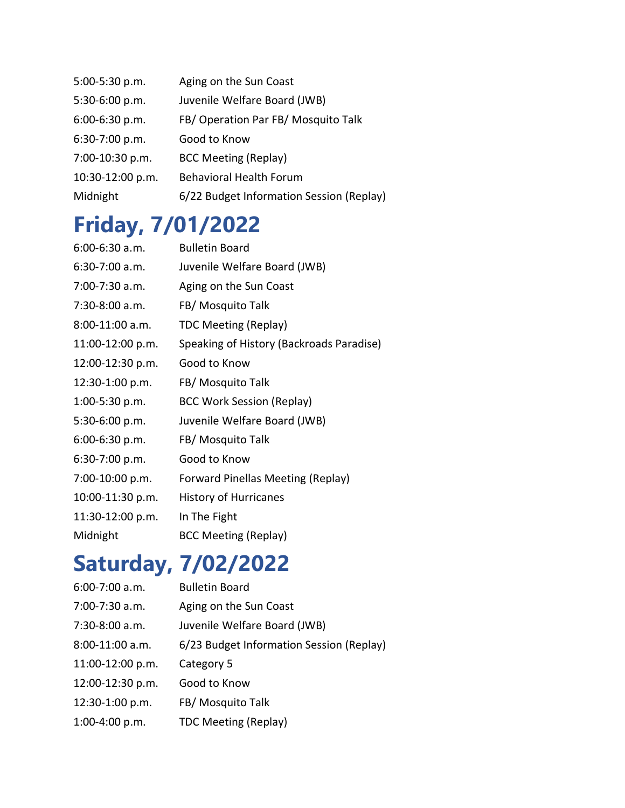| 5:00-5:30 p.m.   | Aging on the Sun Coast                   |
|------------------|------------------------------------------|
| 5:30-6:00 p.m.   | Juvenile Welfare Board (JWB)             |
| 6:00-6:30 p.m.   | FB/ Operation Par FB/ Mosquito Talk      |
| 6:30-7:00 p.m.   | Good to Know                             |
| 7:00-10:30 p.m.  | <b>BCC Meeting (Replay)</b>              |
| 10:30-12:00 p.m. | <b>Behavioral Health Forum</b>           |
| Midnight         | 6/22 Budget Information Session (Replay) |

#### **Friday, 7/01/2022**

| $6:00-6:30$ a.m. | <b>Bulletin Board</b>                    |
|------------------|------------------------------------------|
| 6:30-7:00 a.m.   | Juvenile Welfare Board (JWB)             |
| 7:00-7:30 a.m.   | Aging on the Sun Coast                   |
| 7:30-8:00 a.m.   | FB/ Mosquito Talk                        |
| 8:00-11:00 a.m.  | <b>TDC Meeting (Replay)</b>              |
| 11:00-12:00 p.m. | Speaking of History (Backroads Paradise) |
| 12:00-12:30 p.m. | Good to Know                             |
| 12:30-1:00 p.m.  | FB/ Mosquito Talk                        |
| $1:00-5:30$ p.m. | <b>BCC Work Session (Replay)</b>         |
| 5:30-6:00 p.m.   | Juvenile Welfare Board (JWB)             |
| 6:00-6:30 p.m.   | FB/ Mosquito Talk                        |
| 6:30-7:00 p.m.   | Good to Know                             |
| 7:00-10:00 p.m.  | Forward Pinellas Meeting (Replay)        |
| 10:00-11:30 p.m. | <b>History of Hurricanes</b>             |
| 11:30-12:00 p.m. | In The Fight                             |
| Midnight         | <b>BCC Meeting (Replay)</b>              |

### **Saturday, 7/02/2022**

| $6:00-7:00$ a.m.   | <b>Bulletin Board</b>                    |
|--------------------|------------------------------------------|
| $7:00 - 7:30$ a.m. | Aging on the Sun Coast                   |
| $7:30-8:00$ a.m.   | Juvenile Welfare Board (JWB)             |
| $8:00-11:00$ a.m.  | 6/23 Budget Information Session (Replay) |
| $11:00-12:00 p.m.$ | Category 5                               |
| 12:00-12:30 p.m.   | Good to Know                             |
| 12:30-1:00 p.m.    | FB/ Mosquito Talk                        |
| $1:00-4:00 p.m.$   | <b>TDC Meeting (Replay)</b>              |